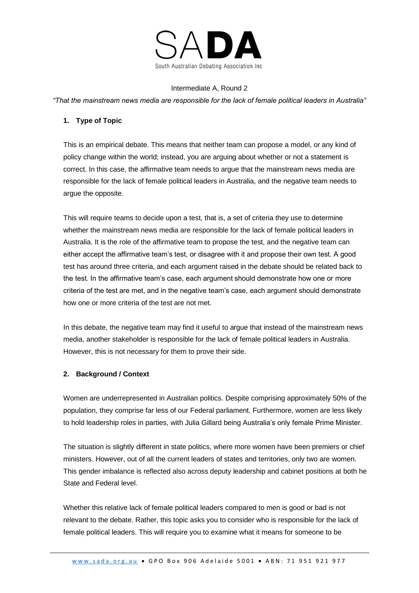

#### Intermediate A, Round 2

*"That the mainstream news media are responsible for the lack of female political leaders in Australia"*

### **1. Type of Topic**

This is an empirical debate. This means that neither team can propose a model, or any kind of policy change within the world; instead, you are arguing about whether or not a statement is correct. In this case, the affirmative team needs to argue that the mainstream news media are responsible for the lack of female political leaders in Australia, and the negative team needs to argue the opposite.

This will require teams to decide upon a test, that is, a set of criteria they use to determine whether the mainstream news media are responsible for the lack of female political leaders in Australia. It is the role of the affirmative team to propose the test, and the negative team can either accept the affirmative team's test, or disagree with it and propose their own test. A good test has around three criteria, and each argument raised in the debate should be related back to the test. In the affirmative team's case, each argument should demonstrate how one or more criteria of the test are met, and in the negative team's case, each argument should demonstrate how one or more criteria of the test are not met.

In this debate, the negative team may find it useful to argue that instead of the mainstream news media, another stakeholder is responsible for the lack of female political leaders in Australia. However, this is not necessary for them to prove their side.

### **2. Background / Context**

Women are underrepresented in Australian politics. Despite comprising approximately 50% of the population, they comprise far less of our Federal parliament. Furthermore, women are less likely to hold leadership roles in parties, with Julia Gillard being Australia's only female Prime Minister.

The situation is slightly different in state politics, where more women have been premiers or chief ministers. However, out of all the current leaders of states and territories, only two are women. This gender imbalance is reflected also across deputy leadership and cabinet positions at both he State and Federal level.

Whether this relative lack of female political leaders compared to men is good or bad is not relevant to the debate. Rather, this topic asks you to consider who is responsible for the lack of female political leaders. This will require you to examine what it means for someone to be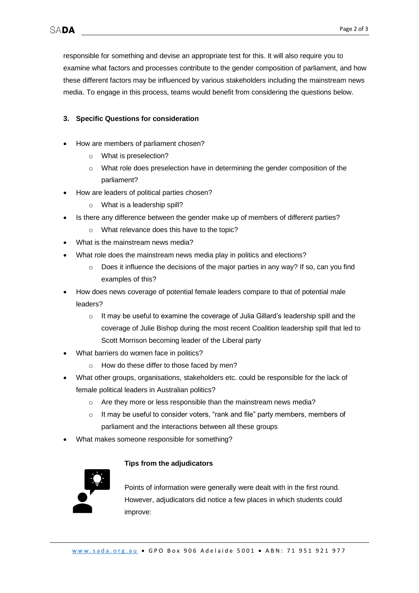responsible for something and devise an appropriate test for this. It will also require you to examine what factors and processes contribute to the gender composition of parliament, and how these different factors may be influenced by various stakeholders including the mainstream news media. To engage in this process, teams would benefit from considering the questions below.

## **3. Specific Questions for consideration**

- How are members of parliament chosen?
	- o What is preselection?
	- $\circ$  What role does preselection have in determining the gender composition of the parliament?
- How are leaders of political parties chosen?
	- o What is a leadership spill?
- Is there any difference between the gender make up of members of different parties?
	- o What relevance does this have to the topic?
- What is the mainstream news media?
- What role does the mainstream news media play in politics and elections?
	- $\circ$  Does it influence the decisions of the major parties in any way? If so, can you find examples of this?
- How does news coverage of potential female leaders compare to that of potential male leaders?
	- o It may be useful to examine the coverage of Julia Gillard's leadership spill and the coverage of Julie Bishop during the most recent Coalition leadership spill that led to Scott Morrison becoming leader of the Liberal party
- What barriers do women face in politics?
	- How do these differ to those faced by men?
- What other groups, organisations, stakeholders etc. could be responsible for the lack of female political leaders in Australian politics?
	- o Are they more or less responsible than the mainstream news media?
	- o It may be useful to consider voters, "rank and file" party members, members of parliament and the interactions between all these groups
- What makes someone responsible for something?

# **Tips from the adjudicators**



Points of information were generally were dealt with in the first round. However, adjudicators did notice a few places in which students could improve: